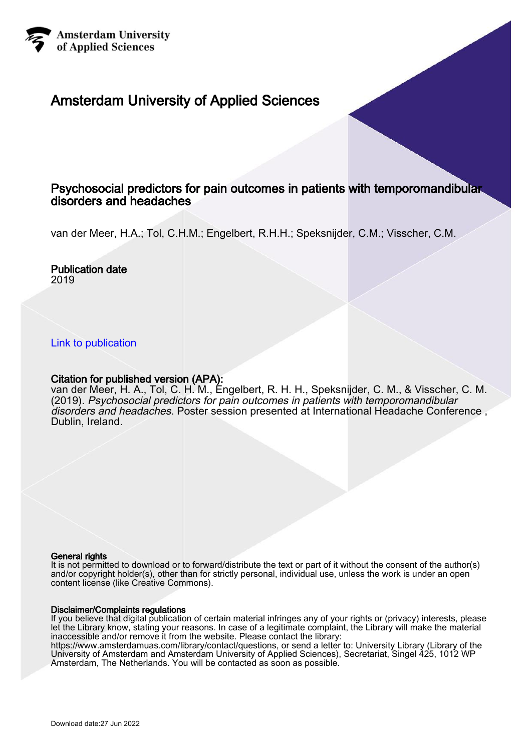

### Amsterdam University of Applied Sciences

### Psychosocial predictors for pain outcomes in patients with temporomandibular disorders and headaches

van der Meer, H.A.; Tol, C.H.M.; Engelbert, R.H.H.; Speksnijder, C.M.; Visscher, C.M.

#### Publication date 2019

#### [Link to publication](https://research.hva.nl/en/publications/9628323c-9634-4c7b-b7db-a4fe47a832cc)

#### Citation for published version (APA):

van der Meer, H. A., Tol, C. H. M., Engelbert, R. H. H., Speksnijder, C. M., & Visscher, C. M. (2019). Psychosocial predictors for pain outcomes in patients with temporomandibular disorders and headaches. Poster session presented at International Headache Conference , Dublin, Ireland.

#### General rights

It is not permitted to download or to forward/distribute the text or part of it without the consent of the author(s) and/or copyright holder(s), other than for strictly personal, individual use, unless the work is under an open content license (like Creative Commons).

#### Disclaimer/Complaints regulations

If you believe that digital publication of certain material infringes any of your rights or (privacy) interests, please let the Library know, stating your reasons. In case of a legitimate complaint, the Library will make the material inaccessible and/or remove it from the website. Please contact the library:

https://www.amsterdamuas.com/library/contact/questions, or send a letter to: University Library (Library of the University of Amsterdam and Amsterdam University of Applied Sciences), Secretariat, Singel 425, 1012 WP Amsterdam, The Netherlands. You will be contacted as soon as possible.